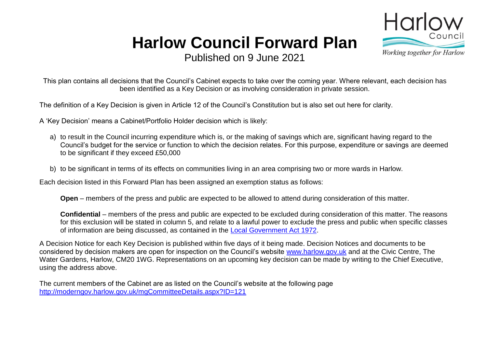## **Harlow Council Forward Plan**



Published on 9 June 2021

This plan contains all decisions that the Council's Cabinet expects to take over the coming year. Where relevant, each decision has been identified as a Key Decision or as involving consideration in private session.

The definition of a Key Decision is given in Article 12 of the Council's Constitution but is also set out here for clarity.

A 'Key Decision' means a Cabinet/Portfolio Holder decision which is likely:

- a) to result in the Council incurring expenditure which is, or the making of savings which are, significant having regard to the Council's budget for the service or function to which the decision relates. For this purpose, expenditure or savings are deemed to be significant if they exceed £50,000
- b) to be significant in terms of its effects on communities living in an area comprising two or more wards in Harlow.

Each decision listed in this Forward Plan has been assigned an exemption status as follows:

**Open** – members of the press and public are expected to be allowed to attend during consideration of this matter.

**Confidential** – members of the press and public are expected to be excluded during consideration of this matter. The reasons for this exclusion will be stated in column 5, and relate to a lawful power to exclude the press and public when specific classes of information are being discussed, as contained in the [Local Government Act 1972.](http://www.legislation.gov.uk/ukpga/1972/70/schedule/12A)

A Decision Notice for each Key Decision is published within five days of it being made. Decision Notices and documents to be considered by decision makers are open for inspection on the Council's website [www.harlow.gov.uk](http://moderngov.harlow.gov.uk/mgListPlans.aspx?RPId=121&RD=0) and at the Civic Centre, The Water Gardens, Harlow, CM20 1WG. Representations on an upcoming key decision can be made by writing to the Chief Executive, using the address above.

The current members of the Cabinet are as listed on the Council's website at the following page <http://moderngov.harlow.gov.uk/mgCommitteeDetails.aspx?ID=121>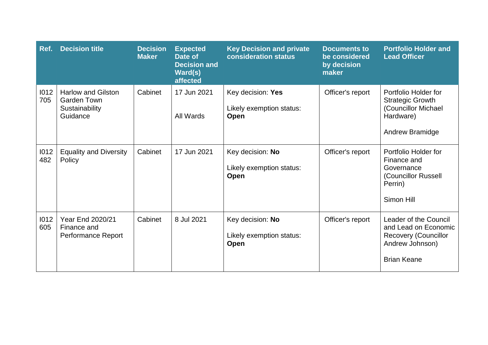| Ref.        | <b>Decision title</b>                                                         | <b>Decision</b><br><b>Maker</b> | <b>Expected</b><br>Date of<br><b>Decision and</b><br>Ward(s)<br>affected | <b>Key Decision and private</b><br>consideration status | <b>Documents to</b><br>be considered<br>by decision<br>maker | <b>Portfolio Holder and</b><br><b>Lead Officer</b>                                                                    |
|-------------|-------------------------------------------------------------------------------|---------------------------------|--------------------------------------------------------------------------|---------------------------------------------------------|--------------------------------------------------------------|-----------------------------------------------------------------------------------------------------------------------|
| 1012<br>705 | <b>Harlow and Gilston</b><br><b>Garden Town</b><br>Sustainability<br>Guidance | Cabinet                         | 17 Jun 2021<br>All Wards                                                 | Key decision: Yes<br>Likely exemption status:<br>Open   | Officer's report                                             | Portfolio Holder for<br><b>Strategic Growth</b><br>(Councillor Michael<br>Hardware)<br>Andrew Bramidge                |
| 1012<br>482 | <b>Equality and Diversity</b><br>Policy                                       | Cabinet                         | 17 Jun 2021                                                              | Key decision: No<br>Likely exemption status:<br>Open    | Officer's report                                             | Portfolio Holder for<br>Finance and<br>Governance<br>(Councillor Russell<br>Perrin)<br>Simon Hill                     |
| 1012<br>605 | <b>Year End 2020/21</b><br>Finance and<br><b>Performance Report</b>           | Cabinet                         | 8 Jul 2021                                                               | Key decision: No<br>Likely exemption status:<br>Open    | Officer's report                                             | Leader of the Council<br>and Lead on Economic<br><b>Recovery (Councillor</b><br>Andrew Johnson)<br><b>Brian Keane</b> |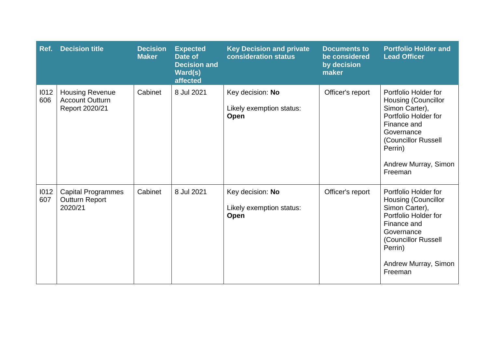| Ref.        | <b>Decision title</b>                                              | <b>Decision</b><br><b>Maker</b> | <b>Expected</b><br>Date of<br><b>Decision and</b><br>Ward(s)<br>affected | <b>Key Decision and private</b><br>consideration status     | <b>Documents to</b><br>be considered<br>by decision<br>maker | <b>Portfolio Holder and</b><br><b>Lead Officer</b>                                                                                                                                             |
|-------------|--------------------------------------------------------------------|---------------------------------|--------------------------------------------------------------------------|-------------------------------------------------------------|--------------------------------------------------------------|------------------------------------------------------------------------------------------------------------------------------------------------------------------------------------------------|
| 1012<br>606 | <b>Housing Revenue</b><br><b>Account Outturn</b><br>Report 2020/21 | Cabinet                         | 8 Jul 2021                                                               | Key decision: No<br>Likely exemption status:<br>Open        | Officer's report                                             | Portfolio Holder for<br><b>Housing (Councillor</b><br>Simon Carter),<br>Portfolio Holder for<br>Finance and<br>Governance<br>(Councillor Russell<br>Perrin)<br>Andrew Murray, Simon<br>Freeman |
| 1012<br>607 | <b>Capital Programmes</b><br><b>Outturn Report</b><br>2020/21      | Cabinet                         | 8 Jul 2021                                                               | Key decision: No<br>Likely exemption status:<br><b>Open</b> | Officer's report                                             | Portfolio Holder for<br><b>Housing (Councillor</b><br>Simon Carter),<br>Portfolio Holder for<br>Finance and<br>Governance<br>(Councillor Russell<br>Perrin)<br>Andrew Murray, Simon<br>Freeman |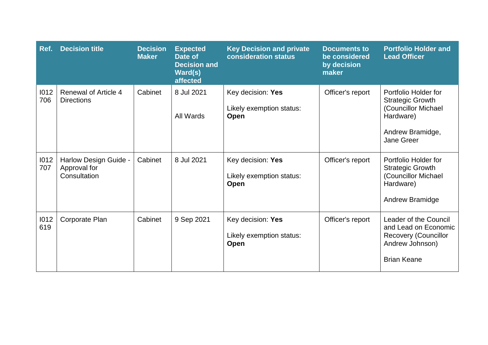| Ref.        | <b>Decision title</b>                                 | <b>Decision</b><br><b>Maker</b> | <b>Expected</b><br>Date of<br><b>Decision and</b><br>Ward(s)<br>affected | <b>Key Decision and private</b><br>consideration status | <b>Documents to</b><br>be considered<br>by decision<br>maker | <b>Portfolio Holder and</b><br><b>Lead Officer</b>                                                                    |
|-------------|-------------------------------------------------------|---------------------------------|--------------------------------------------------------------------------|---------------------------------------------------------|--------------------------------------------------------------|-----------------------------------------------------------------------------------------------------------------------|
| 1012<br>706 | <b>Renewal of Article 4</b><br><b>Directions</b>      | Cabinet                         | 8 Jul 2021<br>All Wards                                                  | Key decision: Yes<br>Likely exemption status:<br>Open   | Officer's report                                             | Portfolio Holder for<br><b>Strategic Growth</b><br>(Councillor Michael<br>Hardware)<br>Andrew Bramidge,<br>Jane Greer |
| 1012<br>707 | Harlow Design Guide -<br>Approval for<br>Consultation | Cabinet                         | 8 Jul 2021                                                               | Key decision: Yes<br>Likely exemption status:<br>Open   | Officer's report                                             | Portfolio Holder for<br><b>Strategic Growth</b><br>(Councillor Michael)<br>Hardware)<br>Andrew Bramidge               |
| 1012<br>619 | Corporate Plan                                        | Cabinet                         | 9 Sep 2021                                                               | Key decision: Yes<br>Likely exemption status:<br>Open   | Officer's report                                             | Leader of the Council<br>and Lead on Economic<br><b>Recovery (Councillor</b><br>Andrew Johnson)<br><b>Brian Keane</b> |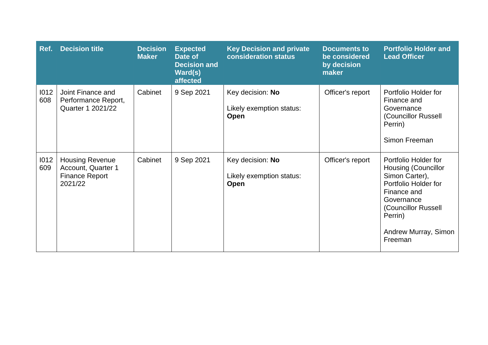| Ref.        | <b>Decision title</b>                                                            | <b>Decision</b><br><b>Maker</b> | <b>Expected</b><br>Date of<br><b>Decision and</b><br>Ward(s)<br>affected | <b>Key Decision and private</b><br>consideration status | <b>Documents to</b><br>be considered<br>by decision<br>maker | <b>Portfolio Holder and</b><br><b>Lead Officer</b>                                                                                                                                             |
|-------------|----------------------------------------------------------------------------------|---------------------------------|--------------------------------------------------------------------------|---------------------------------------------------------|--------------------------------------------------------------|------------------------------------------------------------------------------------------------------------------------------------------------------------------------------------------------|
| 1012<br>608 | Joint Finance and<br>Performance Report,<br>Quarter 1 2021/22                    | Cabinet                         | 9 Sep 2021                                                               | Key decision: No<br>Likely exemption status:<br>Open    | Officer's report                                             | Portfolio Holder for<br>Finance and<br>Governance<br>(Councillor Russell<br>Perrin)<br>Simon Freeman                                                                                           |
| 1012<br>609 | <b>Housing Revenue</b><br>Account, Quarter 1<br><b>Finance Report</b><br>2021/22 | Cabinet                         | 9 Sep 2021                                                               | Key decision: No<br>Likely exemption status:<br>Open    | Officer's report                                             | Portfolio Holder for<br><b>Housing (Councillor</b><br>Simon Carter),<br>Portfolio Holder for<br>Finance and<br>Governance<br>(Councillor Russell<br>Perrin)<br>Andrew Murray, Simon<br>Freeman |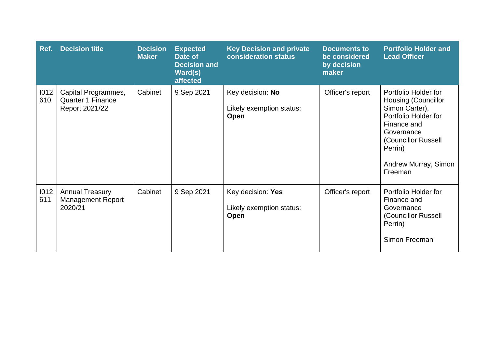| Ref.        | <b>Decision title</b>                                             | <b>Decision</b><br><b>Maker</b> | <b>Expected</b><br>Date of<br><b>Decision and</b><br>Ward(s)<br>affected | <b>Key Decision and private</b><br>consideration status | <b>Documents to</b><br>be considered<br>by decision<br>maker | <b>Portfolio Holder and</b><br><b>Lead Officer</b>                                                                                                                                             |
|-------------|-------------------------------------------------------------------|---------------------------------|--------------------------------------------------------------------------|---------------------------------------------------------|--------------------------------------------------------------|------------------------------------------------------------------------------------------------------------------------------------------------------------------------------------------------|
| 1012<br>610 | Capital Programmes,<br><b>Quarter 1 Finance</b><br>Report 2021/22 | Cabinet                         | 9 Sep 2021                                                               | Key decision: No<br>Likely exemption status:<br>Open    | Officer's report                                             | Portfolio Holder for<br><b>Housing (Councillor</b><br>Simon Carter),<br>Portfolio Holder for<br>Finance and<br>Governance<br>(Councillor Russell<br>Perrin)<br>Andrew Murray, Simon<br>Freeman |
| 1012<br>611 | <b>Annual Treasury</b><br><b>Management Report</b><br>2020/21     | Cabinet                         | 9 Sep 2021                                                               | Key decision: Yes<br>Likely exemption status:<br>Open   | Officer's report                                             | Portfolio Holder for<br>Finance and<br>Governance<br>(Councillor Russell<br>Perrin)<br>Simon Freeman                                                                                           |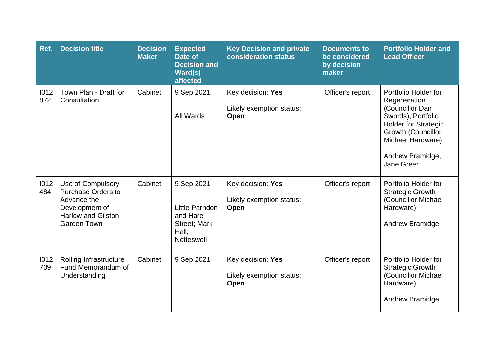| Ref.        | <b>Decision title</b>                                                                                                              | <b>Decision</b><br><b>Maker</b> | <b>Expected</b><br>Date of<br><b>Decision and</b><br>Ward(s)<br>affected                      | <b>Key Decision and private</b><br>consideration status | <b>Documents to</b><br>be considered<br>by decision<br>maker | <b>Portfolio Holder and</b><br><b>Lead Officer</b>                                                                                                                                        |
|-------------|------------------------------------------------------------------------------------------------------------------------------------|---------------------------------|-----------------------------------------------------------------------------------------------|---------------------------------------------------------|--------------------------------------------------------------|-------------------------------------------------------------------------------------------------------------------------------------------------------------------------------------------|
| 1012<br>872 | Town Plan - Draft for<br>Consultation                                                                                              | Cabinet                         | 9 Sep 2021<br>All Wards                                                                       | Key decision: Yes<br>Likely exemption status:<br>Open   | Officer's report                                             | Portfolio Holder for<br>Regeneration<br>(Councillor Dan<br>Swords), Portfolio<br><b>Holder for Strategic</b><br>Growth (Councillor<br>Michael Hardware)<br>Andrew Bramidge,<br>Jane Greer |
| 1012<br>484 | Use of Compulsory<br><b>Purchase Orders to</b><br>Advance the<br>Development of<br><b>Harlow and Gilston</b><br><b>Garden Town</b> | Cabinet                         | 9 Sep 2021<br>Little Parndon<br>and Hare<br><b>Street; Mark</b><br>Hall;<br><b>Netteswell</b> | Key decision: Yes<br>Likely exemption status:<br>Open   | Officer's report                                             | Portfolio Holder for<br><b>Strategic Growth</b><br>(Councillor Michael<br>Hardware)<br>Andrew Bramidge                                                                                    |
| 1012<br>709 | Rolling Infrastructure<br>Fund Memorandum of<br>Understanding                                                                      | Cabinet                         | 9 Sep 2021                                                                                    | Key decision: Yes<br>Likely exemption status:<br>Open   | Officer's report                                             | Portfolio Holder for<br><b>Strategic Growth</b><br>(Councillor Michael<br>Hardware)<br><b>Andrew Bramidge</b>                                                                             |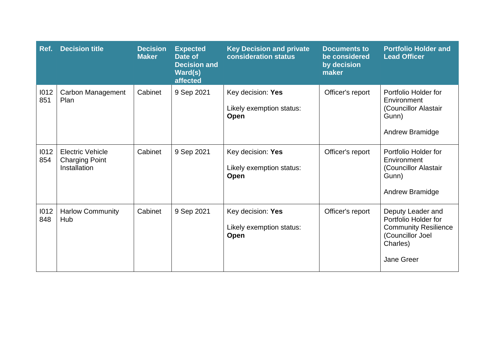| Ref.        | <b>Decision title</b>                                            | <b>Decision</b><br><b>Maker</b> | <b>Expected</b><br>Date of<br><b>Decision and</b><br>Ward(s)<br>affected | <b>Key Decision and private</b><br>consideration status | <b>Documents to</b><br>be considered<br>by decision<br>maker | <b>Portfolio Holder and</b><br><b>Lead Officer</b>                                                                     |
|-------------|------------------------------------------------------------------|---------------------------------|--------------------------------------------------------------------------|---------------------------------------------------------|--------------------------------------------------------------|------------------------------------------------------------------------------------------------------------------------|
| 1012<br>851 | Carbon Management<br>Plan                                        | Cabinet                         | 9 Sep 2021                                                               | Key decision: Yes<br>Likely exemption status:<br>Open   | Officer's report                                             | Portfolio Holder for<br>Environment<br>(Councillor Alastair<br>Gunn)<br>Andrew Bramidge                                |
| 1012<br>854 | <b>Electric Vehicle</b><br><b>Charging Point</b><br>Installation | Cabinet                         | 9 Sep 2021                                                               | Key decision: Yes<br>Likely exemption status:<br>Open   | Officer's report                                             | Portfolio Holder for<br>Environment<br>(Councillor Alastair<br>Gunn)<br>Andrew Bramidge                                |
| 1012<br>848 | <b>Harlow Community</b><br>Hub                                   | Cabinet                         | 9 Sep 2021                                                               | Key decision: Yes<br>Likely exemption status:<br>Open   | Officer's report                                             | Deputy Leader and<br>Portfolio Holder for<br><b>Community Resilience</b><br>(Councillor Joel<br>Charles)<br>Jane Greer |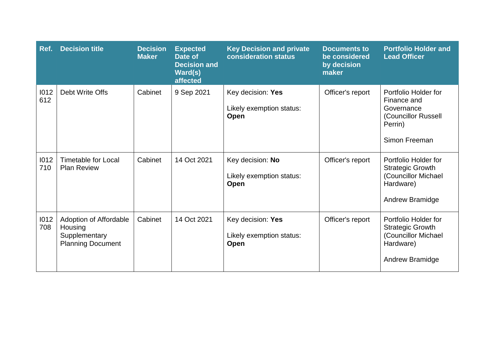| Ref.        | <b>Decision title</b>                                                          | <b>Decision</b><br><b>Maker</b> | <b>Expected</b><br>Date of<br><b>Decision and</b><br>Ward(s)<br>affected | <b>Key Decision and private</b><br>consideration status | <b>Documents to</b><br>be considered<br>by decision<br>maker | <b>Portfolio Holder and</b><br><b>Lead Officer</b>                                                     |
|-------------|--------------------------------------------------------------------------------|---------------------------------|--------------------------------------------------------------------------|---------------------------------------------------------|--------------------------------------------------------------|--------------------------------------------------------------------------------------------------------|
| 1012<br>612 | Debt Write Offs                                                                | Cabinet                         | 9 Sep 2021                                                               | Key decision: Yes<br>Likely exemption status:<br>Open   | Officer's report                                             | Portfolio Holder for<br>Finance and<br>Governance<br>(Councillor Russell<br>Perrin)<br>Simon Freeman   |
| 1012<br>710 | <b>Timetable for Local</b><br><b>Plan Review</b>                               | Cabinet                         | 14 Oct 2021                                                              | Key decision: No<br>Likely exemption status:<br>Open    | Officer's report                                             | Portfolio Holder for<br><b>Strategic Growth</b><br>(Councillor Michael<br>Hardware)<br>Andrew Bramidge |
| 1012<br>708 | Adoption of Affordable<br>Housing<br>Supplementary<br><b>Planning Document</b> | Cabinet                         | 14 Oct 2021                                                              | Key decision: Yes<br>Likely exemption status:<br>Open   | Officer's report                                             | Portfolio Holder for<br><b>Strategic Growth</b><br>(Councillor Michael<br>Hardware)<br>Andrew Bramidge |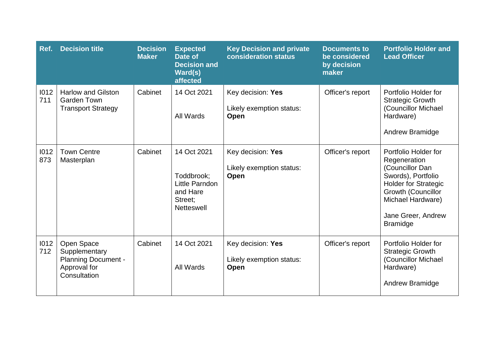| Ref.        | <b>Decision title</b>                                                                     | <b>Decision</b><br><b>Maker</b> | <b>Expected</b><br>Date of<br><b>Decision and</b><br>Ward(s)<br>affected                | <b>Key Decision and private</b><br>consideration status      | <b>Documents to</b><br>be considered<br>by decision<br>maker | <b>Portfolio Holder and</b><br><b>Lead Officer</b>                                                                                                                                                      |
|-------------|-------------------------------------------------------------------------------------------|---------------------------------|-----------------------------------------------------------------------------------------|--------------------------------------------------------------|--------------------------------------------------------------|---------------------------------------------------------------------------------------------------------------------------------------------------------------------------------------------------------|
| 1012<br>711 | <b>Harlow and Gilston</b><br><b>Garden Town</b><br><b>Transport Strategy</b>              | Cabinet                         | 14 Oct 2021<br>All Wards                                                                | Key decision: Yes<br>Likely exemption status:<br><b>Open</b> | Officer's report                                             | Portfolio Holder for<br><b>Strategic Growth</b><br>(Councillor Michael<br>Hardware)<br>Andrew Bramidge                                                                                                  |
| 1012<br>873 | <b>Town Centre</b><br>Masterplan                                                          | Cabinet                         | 14 Oct 2021<br>Toddbrook;<br>Little Parndon<br>and Hare<br>Street:<br><b>Netteswell</b> | Key decision: Yes<br>Likely exemption status:<br>Open        | Officer's report                                             | Portfolio Holder for<br>Regeneration<br>(Councillor Dan<br>Swords), Portfolio<br><b>Holder for Strategic</b><br><b>Growth (Councillor</b><br>Michael Hardware)<br>Jane Greer, Andrew<br><b>Bramidge</b> |
| 1012<br>712 | Open Space<br>Supplementary<br><b>Planning Document -</b><br>Approval for<br>Consultation | Cabinet                         | 14 Oct 2021<br>All Wards                                                                | Key decision: Yes<br>Likely exemption status:<br>Open        | Officer's report                                             | Portfolio Holder for<br><b>Strategic Growth</b><br>(Councillor Michael<br>Hardware)<br>Andrew Bramidge                                                                                                  |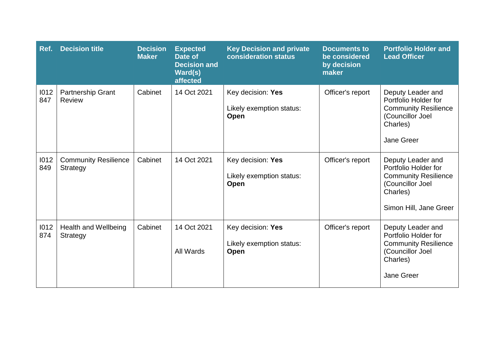| Ref.        | <b>Decision title</b>                          | <b>Decision</b><br><b>Maker</b> | <b>Expected</b><br>Date of<br><b>Decision and</b><br>Ward(s)<br>affected | <b>Key Decision and private</b><br>consideration status | <b>Documents to</b><br>be considered<br>by decision<br>maker | <b>Portfolio Holder and</b><br><b>Lead Officer</b>                                                                                 |
|-------------|------------------------------------------------|---------------------------------|--------------------------------------------------------------------------|---------------------------------------------------------|--------------------------------------------------------------|------------------------------------------------------------------------------------------------------------------------------------|
| 1012<br>847 | Partnership Grant<br>Review                    | Cabinet                         | 14 Oct 2021                                                              | Key decision: Yes<br>Likely exemption status:<br>Open   | Officer's report                                             | Deputy Leader and<br>Portfolio Holder for<br><b>Community Resilience</b><br>(Councillor Joel<br>Charles)<br>Jane Greer             |
| 1012<br>849 | <b>Community Resilience</b><br><b>Strategy</b> | Cabinet                         | 14 Oct 2021                                                              | Key decision: Yes<br>Likely exemption status:<br>Open   | Officer's report                                             | Deputy Leader and<br>Portfolio Holder for<br><b>Community Resilience</b><br>(Councillor Joel<br>Charles)<br>Simon Hill, Jane Greer |
| 1012<br>874 | <b>Health and Wellbeing</b><br>Strategy        | Cabinet                         | 14 Oct 2021<br>All Wards                                                 | Key decision: Yes<br>Likely exemption status:<br>Open   | Officer's report                                             | Deputy Leader and<br>Portfolio Holder for<br><b>Community Resilience</b><br>(Councillor Joel<br>Charles)<br><b>Jane Greer</b>      |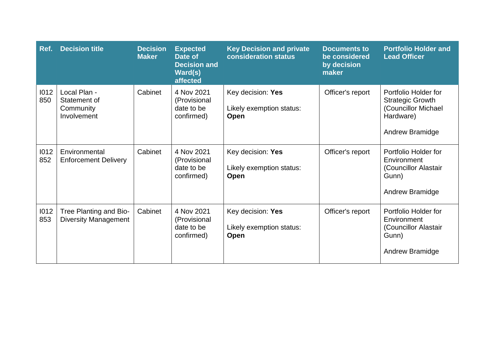| Ref.        | <b>Decision title</b>                                    | <b>Decision</b><br><b>Maker</b> | <b>Expected</b><br>Date of<br><b>Decision and</b><br>Ward(s)<br>affected | <b>Key Decision and private</b><br>consideration status | <b>Documents to</b><br>be considered<br>by decision<br>maker | <b>Portfolio Holder and</b><br><b>Lead Officer</b>                                                     |
|-------------|----------------------------------------------------------|---------------------------------|--------------------------------------------------------------------------|---------------------------------------------------------|--------------------------------------------------------------|--------------------------------------------------------------------------------------------------------|
| 1012<br>850 | Local Plan -<br>Statement of<br>Community<br>Involvement | Cabinet                         | 4 Nov 2021<br>(Provisional<br>date to be<br>confirmed)                   | Key decision: Yes<br>Likely exemption status:<br>Open   | Officer's report                                             | Portfolio Holder for<br><b>Strategic Growth</b><br>(Councillor Michael<br>Hardware)<br>Andrew Bramidge |
| 1012<br>852 | Environmental<br><b>Enforcement Delivery</b>             | Cabinet                         | 4 Nov 2021<br>(Provisional<br>date to be<br>confirmed)                   | Key decision: Yes<br>Likely exemption status:<br>Open   | Officer's report                                             | Portfolio Holder for<br>Environment<br>(Councillor Alastair<br>Gunn)<br>Andrew Bramidge                |
| 1012<br>853 | Tree Planting and Bio-<br><b>Diversity Management</b>    | Cabinet                         | 4 Nov 2021<br>(Provisional<br>date to be<br>confirmed)                   | Key decision: Yes<br>Likely exemption status:<br>Open   | Officer's report                                             | Portfolio Holder for<br>Environment<br>(Councillor Alastair<br>Gunn)<br>Andrew Bramidge                |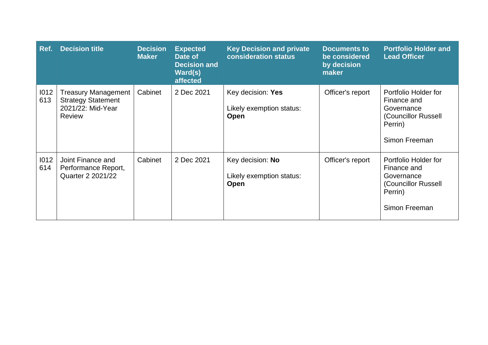| Ref.        | <b>Decision title</b>                                                                         | <b>Decision</b><br><b>Maker</b> | <b>Expected</b><br>Date of<br><b>Decision and</b><br>$Ward(s)$<br>affected | <b>Key Decision and private</b><br><b>consideration status</b> | <b>Documents to</b><br>be considered<br>by decision<br>maker | <b>Portfolio Holder and</b><br><b>Lead Officer</b>                                                   |
|-------------|-----------------------------------------------------------------------------------------------|---------------------------------|----------------------------------------------------------------------------|----------------------------------------------------------------|--------------------------------------------------------------|------------------------------------------------------------------------------------------------------|
| 1012<br>613 | <b>Treasury Management</b><br><b>Strategy Statement</b><br>2021/22: Mid-Year<br><b>Review</b> | Cabinet                         | 2 Dec 2021                                                                 | Key decision: Yes<br>Likely exemption status:<br>Open          | Officer's report                                             | Portfolio Holder for<br>Finance and<br>Governance<br>(Councillor Russell<br>Perrin)<br>Simon Freeman |
| 1012<br>614 | Joint Finance and<br>Performance Report,<br>Quarter 2 2021/22                                 | Cabinet                         | 2 Dec 2021                                                                 | Key decision: No<br>Likely exemption status:<br>Open           | Officer's report                                             | Portfolio Holder for<br>Finance and<br>Governance<br>(Councillor Russell<br>Perrin)<br>Simon Freeman |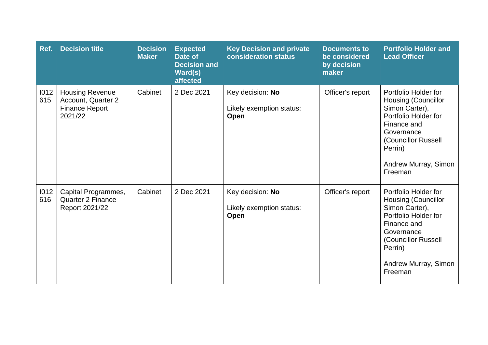| Ref.        | <b>Decision title</b>                                                            | <b>Decision</b><br><b>Maker</b> | <b>Expected</b><br>Date of<br><b>Decision and</b><br>Ward(s)<br>affected | <b>Key Decision and private</b><br>consideration status | <b>Documents to</b><br>be considered<br>by decision<br>maker | <b>Portfolio Holder and</b><br><b>Lead Officer</b>                                                                                                                                             |
|-------------|----------------------------------------------------------------------------------|---------------------------------|--------------------------------------------------------------------------|---------------------------------------------------------|--------------------------------------------------------------|------------------------------------------------------------------------------------------------------------------------------------------------------------------------------------------------|
| 1012<br>615 | <b>Housing Revenue</b><br>Account, Quarter 2<br><b>Finance Report</b><br>2021/22 | Cabinet                         | 2 Dec 2021                                                               | Key decision: No<br>Likely exemption status:<br>Open    | Officer's report                                             | Portfolio Holder for<br><b>Housing (Councillor</b><br>Simon Carter),<br>Portfolio Holder for<br>Finance and<br>Governance<br>(Councillor Russell<br>Perrin)<br>Andrew Murray, Simon<br>Freeman |
| 1012<br>616 | Capital Programmes,<br>Quarter 2 Finance<br>Report 2021/22                       | Cabinet                         | 2 Dec 2021                                                               | Key decision: No<br>Likely exemption status:<br>Open    | Officer's report                                             | Portfolio Holder for<br><b>Housing (Councillor</b><br>Simon Carter),<br>Portfolio Holder for<br>Finance and<br>Governance<br>(Councillor Russell<br>Perrin)<br>Andrew Murray, Simon<br>Freeman |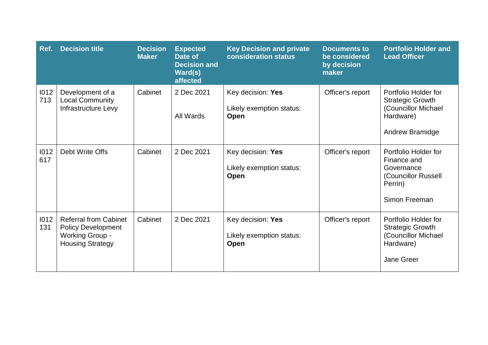| Ref.        | <b>Decision title</b>                                                                                          | <b>Decision</b><br><b>Maker</b> | <b>Expected</b><br>Date of<br><b>Decision and</b><br>Ward(s)<br>affected | <b>Key Decision and private</b><br><b>consideration status</b> | <b>Documents to</b><br>be considered<br>by decision<br>maker | <b>Portfolio Holder and</b><br><b>Lead Officer</b>                                                       |
|-------------|----------------------------------------------------------------------------------------------------------------|---------------------------------|--------------------------------------------------------------------------|----------------------------------------------------------------|--------------------------------------------------------------|----------------------------------------------------------------------------------------------------------|
| 1012<br>713 | Development of a<br><b>Local Community</b><br>Infrastructure Levy                                              | Cabinet                         | 2 Dec 2021<br>All Wards                                                  | Key decision: Yes<br>Likely exemption status:<br><b>Open</b>   | Officer's report                                             | Portfolio Holder for<br><b>Strategic Growth</b><br>(Councillor Michael<br>Hardware)<br>Andrew Bramidge   |
| 1012<br>617 | Debt Write Offs                                                                                                | Cabinet                         | 2 Dec 2021                                                               | Key decision: Yes<br>Likely exemption status:<br>Open          | Officer's report                                             | Portfolio Holder for<br>Finance and<br>Governance<br>(Councillor Russell<br>Perrin)<br>Simon Freeman     |
| 1012<br>131 | <b>Referral from Cabinet</b><br><b>Policy Development</b><br><b>Working Group -</b><br><b>Housing Strategy</b> | Cabinet                         | 2 Dec 2021                                                               | Key decision: Yes<br>Likely exemption status:<br>Open          | Officer's report                                             | Portfolio Holder for<br><b>Strategic Growth</b><br>(Councillor Michael<br>Hardware)<br><b>Jane Greer</b> |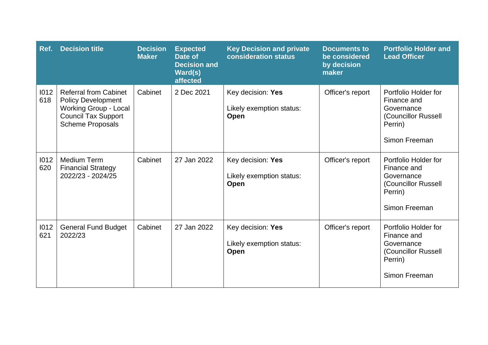| Ref.        | <b>Decision title</b>                                                                                                                              | <b>Decision</b><br><b>Maker</b> | <b>Expected</b><br>Date of<br><b>Decision and</b><br>Ward(s)<br>affected | <b>Key Decision and private</b><br>consideration status | <b>Documents to</b><br>be considered<br>by decision<br>maker | <b>Portfolio Holder and</b><br><b>Lead Officer</b>                                                   |
|-------------|----------------------------------------------------------------------------------------------------------------------------------------------------|---------------------------------|--------------------------------------------------------------------------|---------------------------------------------------------|--------------------------------------------------------------|------------------------------------------------------------------------------------------------------|
| 1012<br>618 | <b>Referral from Cabinet</b><br><b>Policy Development</b><br><b>Working Group - Local</b><br><b>Council Tax Support</b><br><b>Scheme Proposals</b> | Cabinet                         | 2 Dec 2021                                                               | Key decision: Yes<br>Likely exemption status:<br>Open   | Officer's report                                             | Portfolio Holder for<br>Finance and<br>Governance<br>(Councillor Russell<br>Perrin)<br>Simon Freeman |
| 1012<br>620 | <b>Medium Term</b><br><b>Financial Strategy</b><br>2022/23 - 2024/25                                                                               | Cabinet                         | 27 Jan 2022                                                              | Key decision: Yes<br>Likely exemption status:<br>Open   | Officer's report                                             | Portfolio Holder for<br>Finance and<br>Governance<br>(Councillor Russell<br>Perrin)<br>Simon Freeman |
| 1012<br>621 | <b>General Fund Budget</b><br>2022/23                                                                                                              | Cabinet                         | 27 Jan 2022                                                              | Key decision: Yes<br>Likely exemption status:<br>Open   | Officer's report                                             | Portfolio Holder for<br>Finance and<br>Governance<br>(Councillor Russell<br>Perrin)<br>Simon Freeman |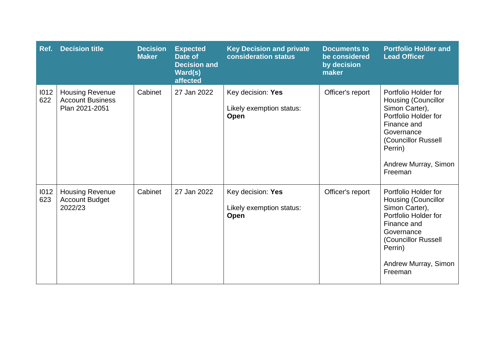| Ref.        | <b>Decision title</b>                                               | <b>Decision</b><br><b>Maker</b> | <b>Expected</b><br>Date of<br><b>Decision and</b><br>Ward(s)<br>affected | <b>Key Decision and private</b><br>consideration status | <b>Documents to</b><br>be considered<br>by decision<br>maker | <b>Portfolio Holder and</b><br><b>Lead Officer</b>                                                                                                                                             |
|-------------|---------------------------------------------------------------------|---------------------------------|--------------------------------------------------------------------------|---------------------------------------------------------|--------------------------------------------------------------|------------------------------------------------------------------------------------------------------------------------------------------------------------------------------------------------|
| 1012<br>622 | <b>Housing Revenue</b><br><b>Account Business</b><br>Plan 2021-2051 | Cabinet                         | 27 Jan 2022                                                              | Key decision: Yes<br>Likely exemption status:<br>Open   | Officer's report                                             | Portfolio Holder for<br>Housing (Councillor<br>Simon Carter),<br>Portfolio Holder for<br>Finance and<br>Governance<br>(Councillor Russell<br>Perrin)<br>Andrew Murray, Simon<br>Freeman        |
| 1012<br>623 | <b>Housing Revenue</b><br><b>Account Budget</b><br>2022/23          | Cabinet                         | 27 Jan 2022                                                              | Key decision: Yes<br>Likely exemption status:<br>Open   | Officer's report                                             | Portfolio Holder for<br><b>Housing (Councillor</b><br>Simon Carter),<br>Portfolio Holder for<br>Finance and<br>Governance<br>(Councillor Russell<br>Perrin)<br>Andrew Murray, Simon<br>Freeman |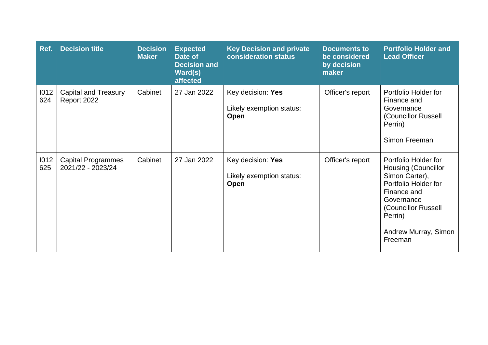| Ref.        | <b>Decision title</b>                          | <b>Decision</b><br><b>Maker</b> | <b>Expected</b><br>Date of<br><b>Decision and</b><br>Ward(s)<br>affected | <b>Key Decision and private</b><br>consideration status | <b>Documents to</b><br>be considered<br>by decision<br>maker | <b>Portfolio Holder and</b><br><b>Lead Officer</b>                                                                                                                                             |
|-------------|------------------------------------------------|---------------------------------|--------------------------------------------------------------------------|---------------------------------------------------------|--------------------------------------------------------------|------------------------------------------------------------------------------------------------------------------------------------------------------------------------------------------------|
| 1012<br>624 | <b>Capital and Treasury</b><br>Report 2022     | Cabinet                         | 27 Jan 2022                                                              | Key decision: Yes<br>Likely exemption status:<br>Open   | Officer's report                                             | Portfolio Holder for<br>Finance and<br>Governance<br>(Councillor Russell<br>Perrin)<br>Simon Freeman                                                                                           |
| 1012<br>625 | <b>Capital Programmes</b><br>2021/22 - 2023/24 | Cabinet                         | 27 Jan 2022                                                              | Key decision: Yes<br>Likely exemption status:<br>Open   | Officer's report                                             | Portfolio Holder for<br><b>Housing (Councillor</b><br>Simon Carter),<br>Portfolio Holder for<br>Finance and<br>Governance<br>(Councillor Russell<br>Perrin)<br>Andrew Murray, Simon<br>Freeman |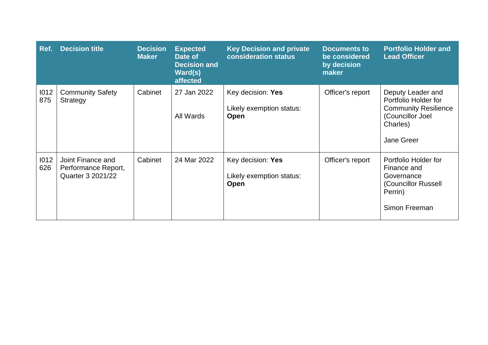| Ref.        | <b>Decision title</b>                                         | <b>Decision</b><br><b>Maker</b> | <b>Expected</b><br>Date of<br><b>Decision and</b><br>Ward(s)<br>affected | <b>Key Decision and private</b><br>consideration status      | <b>Documents to</b><br>be considered<br>by decision<br>maker | <b>Portfolio Holder and</b><br><b>Lead Officer</b>                                                                     |
|-------------|---------------------------------------------------------------|---------------------------------|--------------------------------------------------------------------------|--------------------------------------------------------------|--------------------------------------------------------------|------------------------------------------------------------------------------------------------------------------------|
| 1012<br>875 | <b>Community Safety</b><br>Strategy                           | Cabinet                         | 27 Jan 2022<br>All Wards                                                 | Key decision: Yes<br>Likely exemption status:<br><b>Open</b> | Officer's report                                             | Deputy Leader and<br>Portfolio Holder for<br><b>Community Resilience</b><br>(Councillor Joel<br>Charles)<br>Jane Greer |
| 1012<br>626 | Joint Finance and<br>Performance Report,<br>Quarter 3 2021/22 | Cabinet                         | 24 Mar 2022                                                              | Key decision: Yes<br>Likely exemption status:<br><b>Open</b> | Officer's report                                             | Portfolio Holder for<br>Finance and<br>Governance<br>(Councillor Russell<br>Perrin)<br>Simon Freeman                   |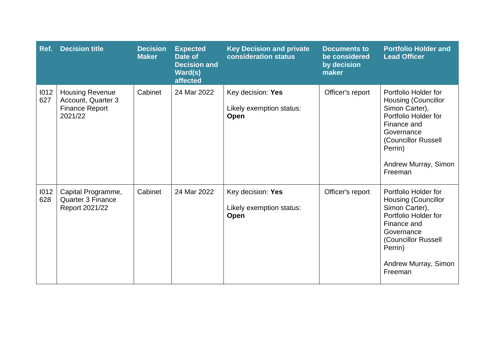| Ref.        | <b>Decision title</b>                                                            | <b>Decision</b><br><b>Maker</b> | <b>Expected</b><br>Date of<br><b>Decision and</b><br>Ward(s)<br>affected | <b>Key Decision and private</b><br><b>consideration status</b> | <b>Documents to</b><br>be considered<br>by decision<br>maker | <b>Portfolio Holder and</b><br><b>Lead Officer</b>                                                                                                                                             |
|-------------|----------------------------------------------------------------------------------|---------------------------------|--------------------------------------------------------------------------|----------------------------------------------------------------|--------------------------------------------------------------|------------------------------------------------------------------------------------------------------------------------------------------------------------------------------------------------|
| 1012<br>627 | <b>Housing Revenue</b><br>Account, Quarter 3<br><b>Finance Report</b><br>2021/22 | Cabinet                         | 24 Mar 2022                                                              | Key decision: Yes<br>Likely exemption status:<br>Open          | Officer's report                                             | Portfolio Holder for<br><b>Housing (Councillor</b><br>Simon Carter),<br>Portfolio Holder for<br>Finance and<br>Governance<br>(Councillor Russell<br>Perrin)<br>Andrew Murray, Simon<br>Freeman |
| 1012<br>628 | Capital Programme,<br><b>Quarter 3 Finance</b><br>Report 2021/22                 | Cabinet                         | 24 Mar 2022                                                              | Key decision: Yes<br>Likely exemption status:<br>Open          | Officer's report                                             | Portfolio Holder for<br>Housing (Councillor<br>Simon Carter),<br>Portfolio Holder for<br>Finance and<br>Governance<br>(Councillor Russell<br>Perrin)<br>Andrew Murray, Simon<br>Freeman        |